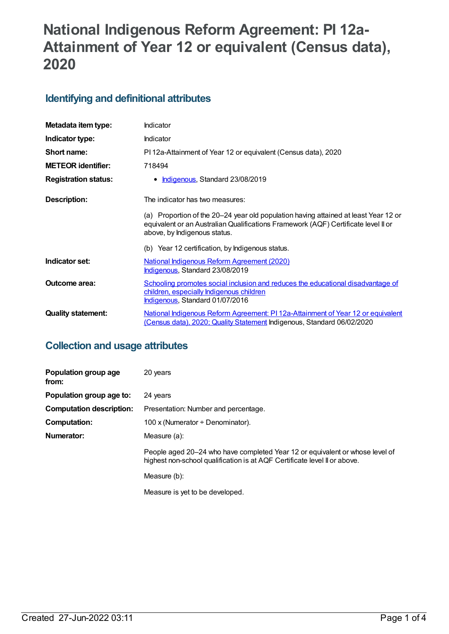# **National Indigenous Reform Agreement: PI 12a-Attainment of Year 12 or equivalent (Census data), 2020**

# **Identifying and definitional attributes**

| Metadata item type:         | <b>Indicator</b>                                                                                                                                                                                          |
|-----------------------------|-----------------------------------------------------------------------------------------------------------------------------------------------------------------------------------------------------------|
| Indicator type:             | <b>Indicator</b>                                                                                                                                                                                          |
| Short name:                 | PI 12a-Attainment of Year 12 or equivalent (Census data), 2020                                                                                                                                            |
| <b>METEOR identifier:</b>   | 718494                                                                                                                                                                                                    |
| <b>Registration status:</b> | • Indigenous, Standard 23/08/2019                                                                                                                                                                         |
| Description:                | The indicator has two measures:                                                                                                                                                                           |
|                             | (a) Proportion of the 20–24 year old population having attained at least Year 12 or<br>equivalent or an Australian Qualifications Framework (AQF) Certificate level II or<br>above, by Indigenous status. |
|                             | (b) Year 12 certification, by Indigenous status.                                                                                                                                                          |
| Indicator set:              | National Indigenous Reform Agreement (2020)<br>Indigenous, Standard 23/08/2019                                                                                                                            |
| Outcome area:               | Schooling promotes social inclusion and reduces the educational disadvantage of<br>children, especially Indigenous children<br>Indigenous, Standard 01/07/2016                                            |
| <b>Quality statement:</b>   | National Indigenous Reform Agreement: PI 12a-Attainment of Year 12 or equivalent<br>(Census data), 2020; Quality Statement Indigenous, Standard 06/02/2020                                                |

# **Collection and usage attributes**

| Population group age<br>from:   | 20 years                                                                                                                                                  |
|---------------------------------|-----------------------------------------------------------------------------------------------------------------------------------------------------------|
| Population group age to:        | 24 years                                                                                                                                                  |
| <b>Computation description:</b> | Presentation: Number and percentage.                                                                                                                      |
| <b>Computation:</b>             | 100 x (Numerator $\div$ Denominator).                                                                                                                     |
| Numerator:                      | Measure (a):                                                                                                                                              |
|                                 | People aged 20–24 who have completed Year 12 or equivalent or whose level of<br>highest non-school qualification is at AQF Certificate level II or above. |
|                                 | Measure (b):                                                                                                                                              |
|                                 | Measure is yet to be developed.                                                                                                                           |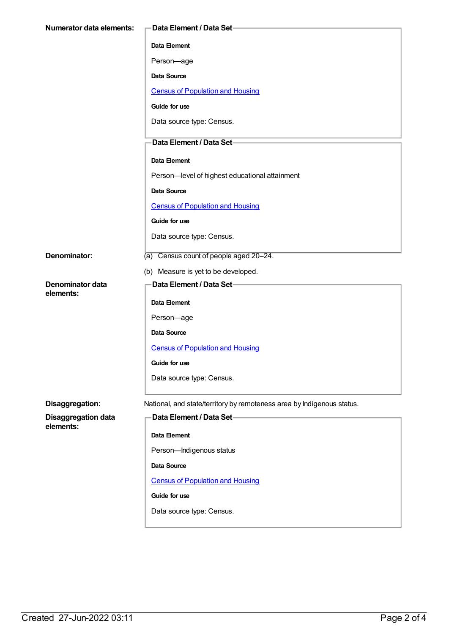| Numerator data elements:      | -Data Element / Data Set-                                              |
|-------------------------------|------------------------------------------------------------------------|
|                               | Data Element                                                           |
|                               | Person-age                                                             |
|                               | Data Source                                                            |
|                               | <b>Census of Population and Housing</b>                                |
|                               | Guide for use                                                          |
|                               | Data source type: Census.                                              |
|                               | Data Element / Data Set-                                               |
|                               | Data Element                                                           |
|                               | Person-level of highest educational attainment                         |
|                               | <b>Data Source</b>                                                     |
|                               | <b>Census of Population and Housing</b>                                |
|                               | Guide for use                                                          |
|                               | Data source type: Census.                                              |
| Denominator:                  | (a) Census count of people aged 20-24.                                 |
|                               | (b) Measure is yet to be developed.                                    |
| Denominator data<br>elements: | Data Element / Data Set-                                               |
|                               | Data Element                                                           |
|                               | Person-age                                                             |
|                               | <b>Data Source</b>                                                     |
|                               | <b>Census of Population and Housing</b>                                |
|                               | Guide for use                                                          |
|                               | Data source type: Census.                                              |
| Disaggregation:               | National, and state/territory by remoteness area by Indigenous status. |
| <b>Disaggregation data</b>    | Data Element / Data Set-                                               |
| elements:                     | Data Element                                                           |
|                               | Person-Indigenous status                                               |
|                               | Data Source                                                            |
|                               | <b>Census of Population and Housing</b>                                |
|                               | Guide for use                                                          |
|                               | Data source type: Census.                                              |
|                               |                                                                        |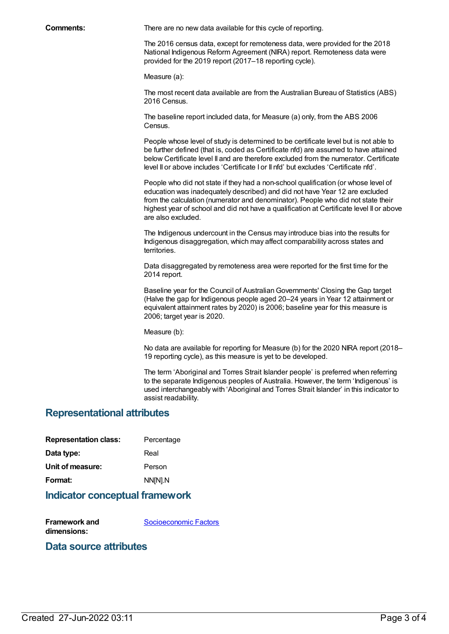**Comments:** There are no new data available for this cycle of reporting.

The 2016 census data, except for remoteness data, were provided for the 2018 National Indigenous Reform Agreement (NIRA) report. Remoteness data were provided for the 2019 report (2017–18 reporting cycle).

Measure (a):

The most recent data available are from the Australian Bureau of Statistics (ABS) 2016 Census.

The baseline report included data, for Measure (a) only, from the ABS 2006 Census.

People whose level of study is determined to be certificate level but is not able to be further defined (that is, coded as Certificate nfd) are assumed to have attained below Certificate level II and are therefore excluded from the numerator. Certificate level II or above includes 'Certificate I or II nfd' but excludes 'Certificate nfd'.

People who did not state if they had a non-school qualification (or whose level of education was inadequately described) and did not have Year 12 are excluded from the calculation (numerator and denominator). People who did not state their highest year of school and did not have a qualification at Certificate level II or above are also excluded.

The Indigenous undercount in the Census may introduce bias into the results for Indigenous disaggregation, which may affect comparability across states and territories.

Data disaggregated by remoteness area were reported for the first time for the 2014 report.

Baseline year for the Council of Australian Governments' Closing the Gap target (Halve the gap for Indigenous people aged 20–24 years in Year 12 attainment or equivalent attainment rates by 2020) is 2006; baseline year for this measure is 2006; target year is 2020.

Measure (b):

No data are available for reporting for Measure (b) for the 2020 NIRA report (2018– 19 reporting cycle), as this measure is yet to be developed.

The term 'Aboriginal and Torres Strait Islander people' is preferred when referring to the separate Indigenous peoples of Australia. However, the term 'Indigenous' is used interchangeably with 'Aboriginal and Torres Strait Islander' in this indicator to assist readability.

#### **Representational attributes**

| Percentage |
|------------|
| Real       |
| Person     |
| NN[N].N    |
|            |

#### **Indicator conceptual framework**

**Framework and dimensions:** [Socioeconomic](https://meteor.aihw.gov.au/content/410674) Factors

### **Data source attributes**